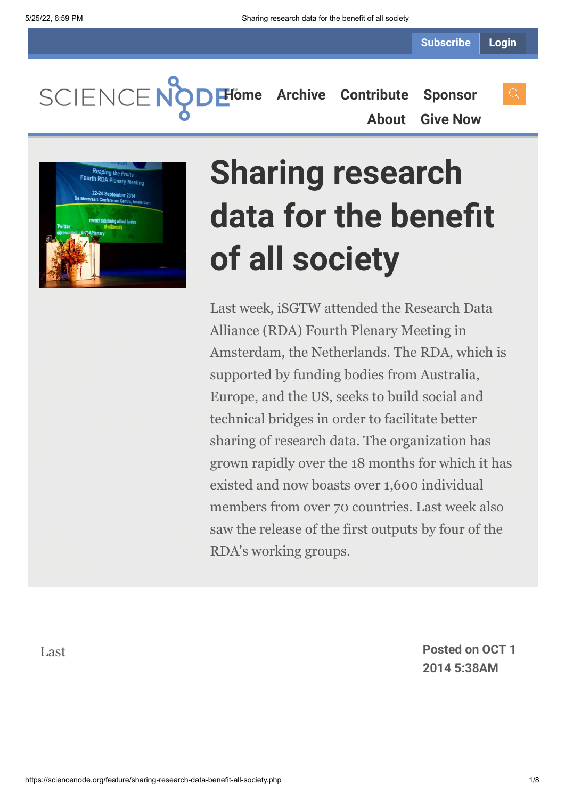SCIENCENC **[Home](https://sciencenode.org/) [Archive](https://sciencenode.org/archive/index.php) [Contribute](https://sciencenode.org/contribute/index.php) [Sponsor](https://sciencenode.org/sponsor/index.php)**

**[About](https://sciencenode.org/about/index.php) [Give Now](https://sciencenode.org/donate/index.php)**



# **Sharing research data for the benefit of all society**

Last week, iSGTW attended the Research Data Alliance (RDA) Fourth Plenary Meeting in Amsterdam, the Netherlands. The RDA, which is supported by funding bodies from Australia, Europe, and the US, seeks to build social and technical bridges in order to facilitate better sharing of research data. The organization has grown rapidly over the 18 months for which it has existed and now boasts over 1,600 individual members from over 70 countries. Last week also saw the release of the first outputs by four of the RDA's working groups.

Last **Posted on OCT 1 2014 5:38AM**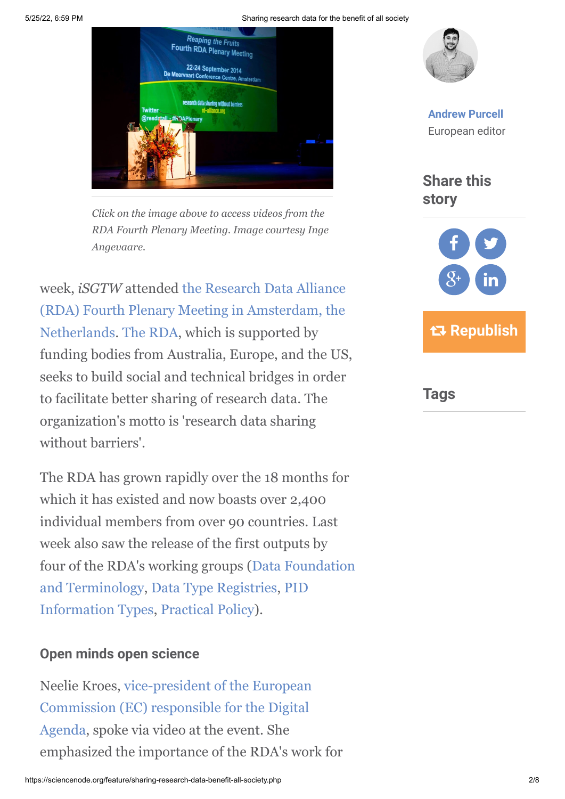5/25/22, 6:59 PM Sharing research data for the benefit of all society



*Click on the image above to access videos from the RDA Fourth Plenary Meeting. Image courtesy Inge Angevaare.*

week, *iSGTW* attended the Research Data Alliance [\(RDA\) Fourth Plenary Meeting in Amsterdam, the](https://rd-alliance.org/plenary-meetings/rda-fourth-plenary-meeting.html) Netherlands. [The RDA](https://rd-alliance.org/), which is supported by funding bodies from Australia, Europe, and the US, seeks to build social and technical bridges in order to facilitate better sharing of research data. The organization's motto is 'research data sharing without barriers'

The RDA has grown rapidly over the 18 months for which it has existed and now boasts over 2,400 individual members from over 90 countries. Last week also saw the release of the first outputs by [four of the RDA's working groups \(Data Foundation](https://www.rd-alliance.org/group/data-foundation-and-terminology-wg.html) [and Terminology, Data Type Registries, PID](https://www.rd-alliance.org/group/pid-information-types-wg.html) Information Types, [Practical Policy\)](https://rd-alliance.org/group/practical-policy-wg.html).

#### **Open minds open science**

[Neelie Kroes, vice-president of the European](http://ec.europa.eu/commission_2010-2014/kroes/) Commission (EC) responsible for the Digital Agenda, spoke via video at the event. She emphasized the importance of the RDA's work for



**[Andrew Purcell](https://sciencenode.org/author/andrew-purcell.php)** European editor

**Share this story**



**Tags**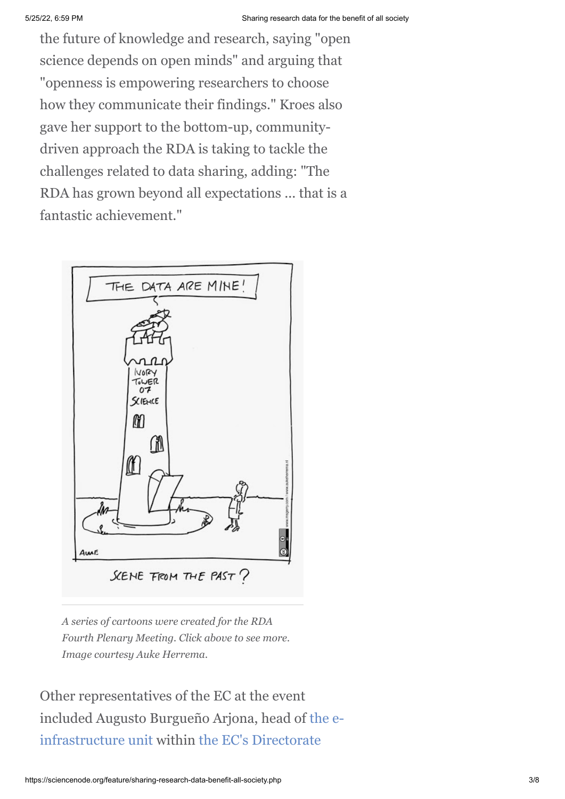the future of knowledge and research, saying "open science depends on open minds" and arguing that "openness is empowering researchers to choose how they communicate their findings." Kroes also gave her support to the bottom-up, communitydriven approach the RDA is taking to tackle the challenges related to data sharing, adding: "The RDA has grown beyond all expectations ... that is a fantastic achievement."



*A series of cartoons were created for the RDA Fourth Plenary Meeting. Click above to see more. Image courtesy Auke Herrema.*

Other representatives of the EC at the event [included Augusto Burgueño Arjona, head of the e](http://cordis.europa.eu/fp7/ict/e-infrastructure/contacts_en.html)[infrastructure unit within the EC's Directorate](http://ec.europa.eu/dgs/connect/en/content/dg-connect)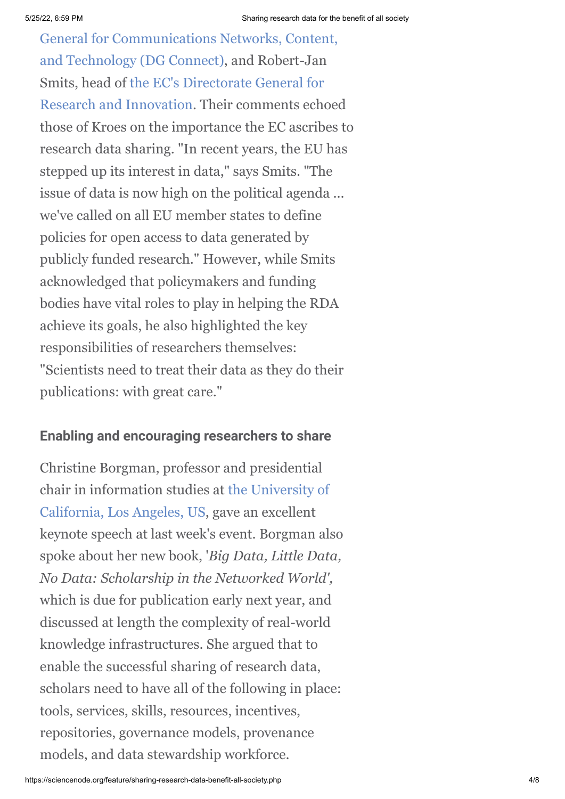[General for Communications Networks, Content,](http://ec.europa.eu/dgs/connect/en/content/dg-connect) and Technology (DG Connect), and Robert-Jan Smits, head of the EC's Directorate General for [Research and Innovation. Their comments echo](http://ec.europa.eu/research/index.cfm)ed those of Kroes on the importance the EC ascribes to research data sharing. "In recent years, the EU has stepped up its interest in data," says Smits. "The issue of data is now high on the political agenda ... we've called on all EU member states to define policies for open access to data generated by publicly funded research." However, while Smits acknowledged that policymakers and funding bodies have vital roles to play in helping the RDA achieve its goals, he also highlighted the key responsibilities of researchers themselves: "Scientists need to treat their data as they do their publications: with great care."

### **Enabling and encouraging researchers to share**

Christine Borgman, professor and presidential [chair in information studies at the University of](http://www.ucla.edu/) California, Los Angeles, US, gave an excellent keynote speech at last week's event. Borgman also spoke about her new book, '*Big Data, Little Data, No Data: Scholarship in the Networked World',* which is due for publication early next year, and discussed at length the complexity of real-world knowledge infrastructures. She argued that to enable the successful sharing of research data, scholars need to have all of the following in place: tools, services, skills, resources, incentives, repositories, governance models, provenance models, and data stewardship workforce.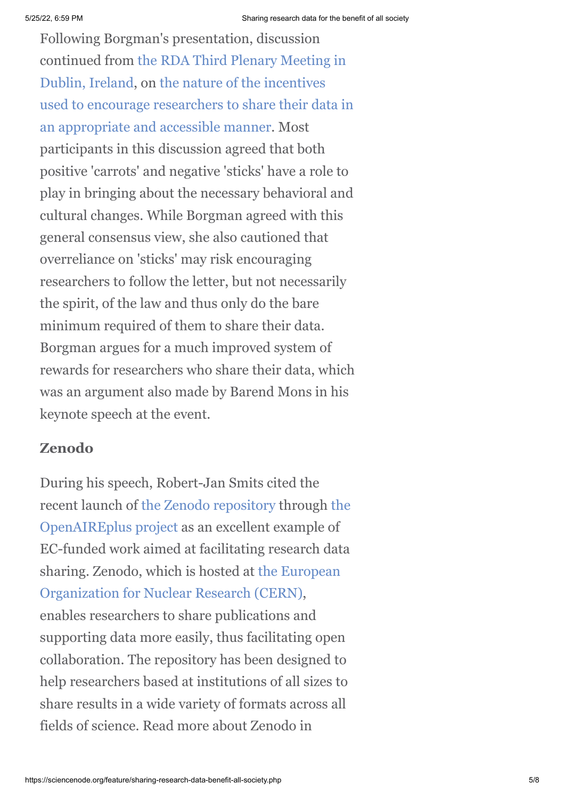Following Borgman's presentation, discussion [continued from the RDA Third Plenary Meeting in](http://www.isgtw.org/feature/deluge-data-dublin) Dublin, Ireland, on the nature of the incentives [used to encourage researchers to share their data in](http://www.isgtw.org/visualization/discussing-challenges-data-policy-rda) an appropriate and accessible manner. Most participants in this discussion agreed that both positive 'carrots' and negative 'sticks' have a role to play in bringing about the necessary behavioral and cultural changes. While Borgman agreed with this general consensus view, she also cautioned that overreliance on 'sticks' may risk encouraging researchers to follow the letter, but not necessarily the spirit, of the law and thus only do the bare minimum required of them to share their data. Borgman argues for a much improved system of rewards for researchers who share their data, which was an argument also made by Barend Mons in his keynote speech at the event.

## **Zenodo**

During his speech, Robert-Jan Smits cited the [recent launch of the Zenodo repository through the](http://www.openaire.eu/en/component/content/article/326-openaireplus-press-release) OpenAIREplus project as an excellent example of EC-funded work aimed at facilitating research data [sharing. Zenodo, which is hosted at the European](http://www.cern.ch/) Organization for Nuclear Research (CERN), enables researchers to share publications and supporting data more easily, thus facilitating open collaboration. The repository has been designed to help researchers based at institutions of all sizes to share results in a wide variety of formats across all fields of science. Read more about Zenodo in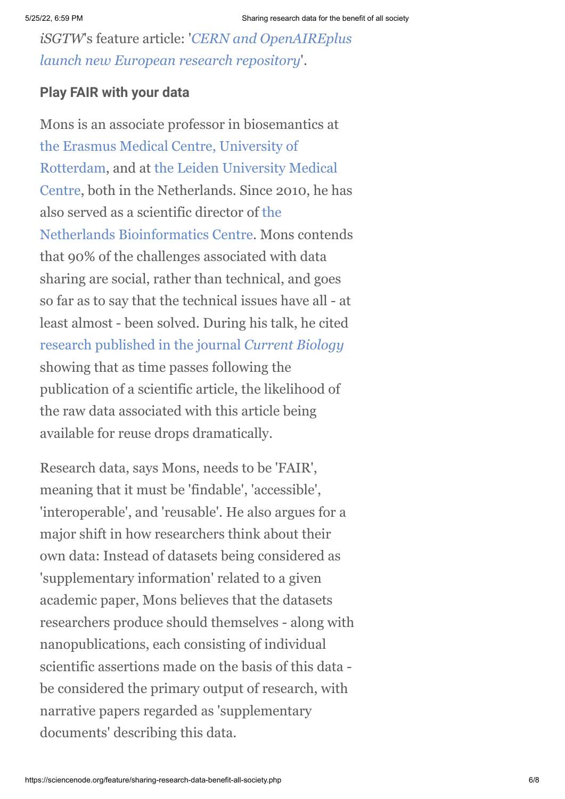*iSGTW*'s feature article: '*CERN and OpenAIREplus [launch new European research repository](http://www.isgtw.org/feature/cern-and-openaireplus-launch-new-european-research-repository)*'.

### **Play FAIR with your data**

Mons is an associate professor in biosemantics at [the Erasmus Medical Centre, University of](http://www.erasmusmc.nl/?lang=en) [Rotterdam, and at the Leiden University Medical](https://www.lumc.nl/home/?setlanguage=English&setcountry=en) Centre, both in the Netherlands. Since 2010, he has [also served as a scientific director of the](http://www.nbic.nl/) Netherlands Bioinformatics Centre. Mons contends that 90% of the challenges associated with data sharing are social, rather than technical, and goes so far as to say that the technical issues have all - at least almost - been solved. During his talk, he cited [research published in the journal](http://www.cell.com/current-biology/abstract/S0960-9822(13)01400-0) *Current Biology* showing that as time passes following the publication of a scientific article, the likelihood of the raw data associated with this article being available for reuse drops dramatically.

Research data, says Mons, needs to be 'FAIR', meaning that it must be 'findable', 'accessible', 'interoperable', and 'reusable'. He also argues for a major shift in how researchers think about their own data: Instead of datasets being considered as 'supplementary information' related to a given academic paper, Mons believes that the datasets researchers produce should themselves - along with nanopublications, each consisting of individual scientific assertions made on the basis of this data be considered the primary output of research, with narrative papers regarded as 'supplementary documents' describing this data.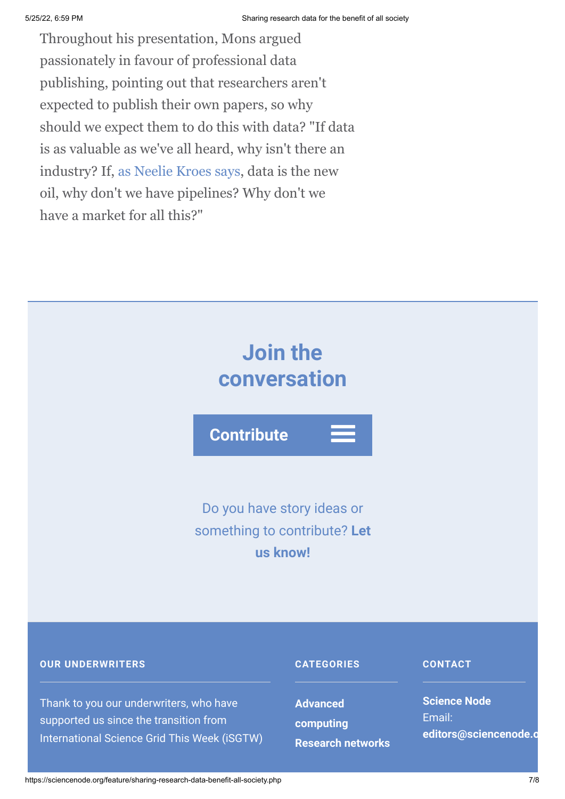Throughout his presentation, Mons argued passionately in favour of professional data publishing, pointing out that researchers aren't expected to publish their own papers, so why should we expect them to do this with data? "If data is as valuable as we've all heard, why isn't there an industry? If, [as Neelie Kroes says,](http://europa.eu/rapid/press-release_SPEECH-12-149_en.htm) data is the new oil, why don't we have pipelines? Why don't we have a market for all this?"